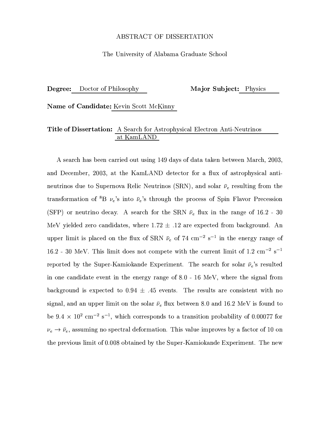## ABSTRACT OF DISSERTATION

## The University of Alabama Graduate School

Degree: Doctor of Philosophy Major Subject: Physics

**Name of Candidate:** Kevin Scott McKinny

## **Title of Dissertation:** A Search for Astrophysical Electron Anti-Neutrinos at KamLAND

A search has been carried out using 149 days of data taken between March, 2003, and December, 2003, at the KamLAND detector for a flux of astrophysical antineutrinos due to Supernova Relic Neutrinos (SRN), and solar  $\bar{\nu}_e$  resulting from the transformation of  ${}^{8}B$   $\nu_e$ 's into  $\bar{\nu}_e$ 's through the process of Spin Flavor Precession (SFP) or neutrino decay. A search for the SRN  $\bar{\nu}_e$  flux in the range of 16.2 - 30 MeV yielded zero candidates, where  $1.72 \pm .12$  are expected from background. An upper limit is placed on the flux of SRN  $\bar{\nu}_e$  of 74 cm<sup>-2</sup> s<sup>-1</sup> in the energy range of 16.2 - 30 MeV. This limit does not compete with the current limit of 1.2  $\rm cm^{-2}~s^{-1}$ reported by the Super-Kamiokande Experiment. The search for solar  $\bar{\nu}_e$ 's resulted in one candidate event in the energy range of  $8.0 - 16 \text{ MeV}$ , where the signal from background is expected to  $0.94 \pm .45$  events. The results are consistent with no signal, and an upper limit on the solar  $\bar{\nu}_e$  flux between 8.0 and 16.2 MeV is found to be 9.4  $\times$  10<sup>2</sup> cm<sup>-2</sup> s<sup>-1</sup>, which corresponds to a transition probability of 0.00077 for  $\nu_e \rightarrow \bar{\nu}_e$ , assuming no spectral deformation. This value improves by a factor of 10 on the previous limit of 0.008 obtained by the Super-Kamiokande Experiment. The new